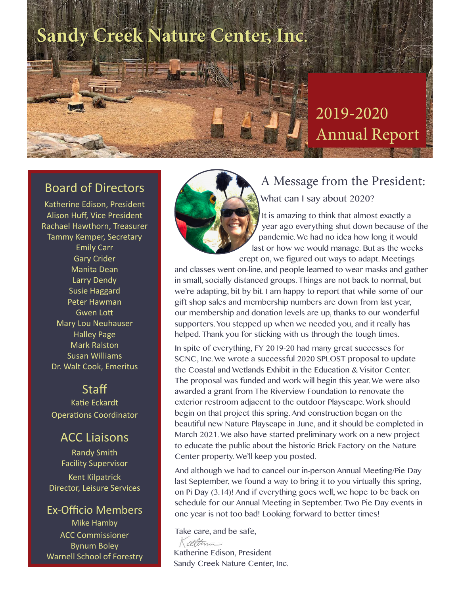## **Sandy Creek Nature Center, Inc**.

## 2019-2020 Annual Report

### Board of Directors

Katherine Edison, President Alison Huff, Vice President Rachael Hawthorn, Treasurer Tammy Kemper, Secretary Emily Carr Gary Crider Manita Dean Larry Dendy Susie Haggard Peter Hawman Gwen Lott Mary Lou Neuhauser Halley Page Mark Ralston Susan Williams Dr. Walt Cook, Emeritus

#### **Staff**

Katie Eckardt Operations Coordinator

## ACC Liaisons

Randy Smith Facility Supervisor Kent Kilpatrick Director, Leisure Services

### Ex-Officio Members

Mike Hamby ACC Commissioner Bynum Boley Warnell School of Forestry



## A Message from the President: What can I say about 2020?

It is amazing to think that almost exactly a year ago everything shut down because of the pandemic. We had no idea how long it would last or how we would manage. But as the weeks crept on, we figured out ways to adapt. Meetings

and classes went on-line, and people learned to wear masks and gather in small, socially distanced groups. Things are not back to normal, but we're adapting, bit by bit. I am happy to report that while some of our gift shop sales and membership numbers are down from last year, our membership and donation levels are up, thanks to our wonderful supporters. You stepped up when we needed you, and it really has helped. Thank you for sticking with us through the tough times.

In spite of everything, FY 2019-20 had many great successes for SCNC, Inc. We wrote a successful 2020 SPLOST proposal to update the Coastal and Wetlands Exhibit in the Education & Visitor Center. The proposal was funded and work will begin this year. We were also awarded a grant from The Riverview Foundation to renovate the exterior restroom adjacent to the outdoor Playscape. Work should begin on that project this spring. And construction began on the beautiful new Nature Playscape in June, and it should be completed in March 2021. We also have started preliminary work on a new project to educate the public about the historic Brick Factory on the Nature Center property. We'll keep you posted.

And although we had to cancel our in-person Annual Meeting/Pie Day last September, we found a way to bring it to you virtually this spring, on Pi Day (3.14)! And if everything goes well, we hope to be back on schedule for our Annual Meeting in September. Two Pie Day events in one year is not too bad! Looking forward to better times!

Take care, and be safe,<br>Kalltman

Katherine Edison, President Sandy Creek Nature Center, Inc.